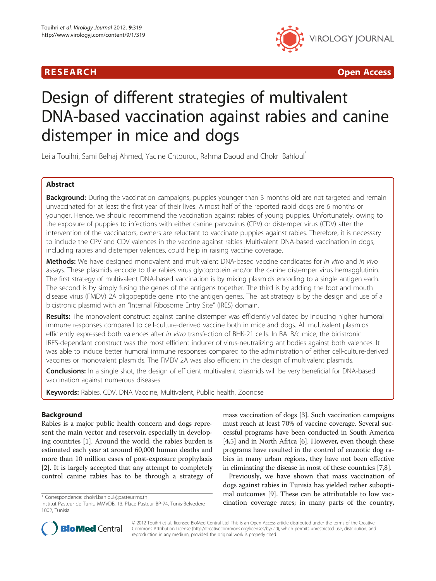

R E S EAR CH Open Access

# Design of different strategies of multivalent DNA-based vaccination against rabies and canine distemper in mice and dogs

Leila Touihri, Sami Belhaj Ahmed, Yacine Chtourou, Rahma Daoud and Chokri Bahloul\*

# Abstract

Background: During the vaccination campaigns, puppies younger than 3 months old are not targeted and remain unvaccinated for at least the first year of their lives. Almost half of the reported rabid dogs are 6 months or younger. Hence, we should recommend the vaccination against rabies of young puppies. Unfortunately, owing to the exposure of puppies to infections with either canine parvovirus (CPV) or distemper virus (CDV) after the intervention of the vaccinators, owners are reluctant to vaccinate puppies against rabies. Therefore, it is necessary to include the CPV and CDV valences in the vaccine against rabies. Multivalent DNA-based vaccination in dogs, including rabies and distemper valences, could help in raising vaccine coverage.

Methods: We have designed monovalent and multivalent DNA-based vaccine candidates for in vitro and in vivo assays. These plasmids encode to the rabies virus glycoprotein and/or the canine distemper virus hemagglutinin. The first strategy of multivalent DNA-based vaccination is by mixing plasmids encoding to a single antigen each. The second is by simply fusing the genes of the antigens together. The third is by adding the foot and mouth disease virus (FMDV) 2A oligopeptide gene into the antigen genes. The last strategy is by the design and use of a bicistronic plasmid with an "Internal Ribosome Entry Site" (IRES) domain.

Results: The monovalent construct against canine distemper was efficiently validated by inducing higher humoral immune responses compared to cell-culture-derived vaccine both in mice and dogs. All multivalent plasmids efficiently expressed both valences after in vitro transfection of BHK-21 cells. In BALB/c mice, the bicistronic IRES-dependant construct was the most efficient inducer of virus-neutralizing antibodies against both valences. It was able to induce better humoral immune responses compared to the administration of either cell-culture-derived vaccines or monovalent plasmids. The FMDV 2A was also efficient in the design of multivalent plasmids.

**Conclusions:** In a single shot, the design of efficient multivalent plasmids will be very beneficial for DNA-based vaccination against numerous diseases.

Keywords: Rabies, CDV, DNA Vaccine, Multivalent, Public health, Zoonose

# Background

Rabies is a major public health concern and dogs represent the main vector and reservoir, especially in developing countries [[1](#page-8-0)]. Around the world, the rabies burden is estimated each year at around 60,000 human deaths and more than 10 million cases of post-exposure prophylaxis [[2\]](#page-8-0). It is largely accepted that any attempt to completely control canine rabies has to be through a strategy of

mass vaccination of dogs [[3\]](#page-8-0). Such vaccination campaigns must reach at least 70% of vaccine coverage. Several successful programs have been conducted in South America [[4,5\]](#page-8-0) and in North Africa [[6\]](#page-8-0). However, even though these programs have resulted in the control of enzootic dog rabies in many urban regions, they have not been effective in eliminating the disease in most of these countries [\[7,8\]](#page-8-0).

Previously, we have shown that mass vaccination of dogs against rabies in Tunisia has yielded rather suboptimal outcomes [\[9](#page-8-0)]. These can be attributable to low vac\* Correspondence: [chokri.bahloul@pasteur.rns.tn](mailto:chokri.bahloul@pasteur.rns.tn)<br>Institut Pasteur de Tunis, MMVDB, 13, Place Pasteur BP-74, Tunis-Belvedere **cination coverage rates; in many parts of the country**,



© 2012 Touihri et al.; licensee BioMed Central Ltd. This is an Open Access article distributed under the terms of the Creative Commons Attribution License [\(http://creativecommons.org/licenses/by/2.0\)](http://creativecommons.org/licenses/by/2.0), which permits unrestricted use, distribution, and reproduction in any medium, provided the original work is properly cited.

<sup>1002,</sup> Tunisia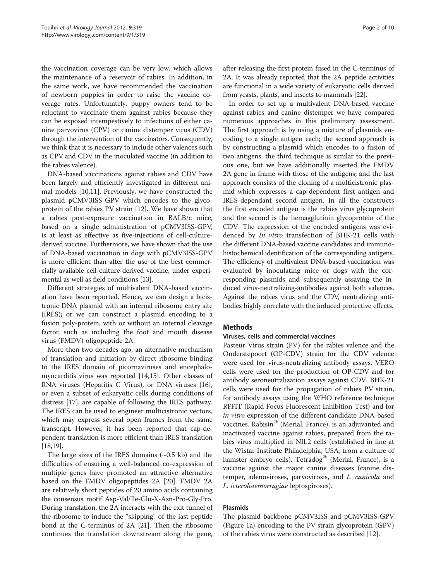the vaccination coverage can be very low, which allows the maintenance of a reservoir of rabies. In addition, in the same work, we have recommended the vaccination of newborn puppies in order to raise the vaccine coverage rates. Unfortunately, puppy owners tend to be reluctant to vaccinate them against rabies because they can be exposed intempestively to infections of either canine parvovirus (CPV) or canine distemper virus (CDV) through the intervention of the vaccinators. Consequently, we think that it is necessary to include other valences such as CPV and CDV in the inoculated vaccine (in addition to the rabies valence).

DNA-based vaccinations against rabies and CDV have been largely and efficiently investigated in different animal models [\[10,11\]](#page-9-0). Previously, we have constructed the plasmid pCMV3ISS-GPV which encodes to the glycoprotein of the rabies PV strain [[12](#page-9-0)]. We have shown that a rabies post-exposure vaccination in BALB/c mice, based on a single administration of pCMV3ISS-GPV, is at least as effective as five-injections of cell-culturederived vaccine. Furthermore, we have shown that the use of DNA-based vaccination in dogs with pCMV3ISS-GPV is more efficient than after the use of the best commercially available cell-culture-derived vaccine, under experimental as well as field conditions [\[13](#page-9-0)].

Different strategies of multivalent DNA-based vaccination have been reported. Hence, we can design a bicistronic DNA plasmid with an internal ribosome entry site (IRES); or we can construct a plasmid encoding to a fusion poly-protein, with or without an internal cleavage factor, such as including the foot and mouth disease virus (FMDV) oligopeptide 2A.

More then two decades ago, an alternative mechanism of translation and initiation by direct ribosome binding to the IRES domain of picornaviruses and encephalomyocarditis virus was reported [[14,15](#page-9-0)]. Other classes of RNA viruses (Hepatitis C Virus), or DNA viruses [\[16](#page-9-0)], or even a subset of eukaryotic cells during conditions of distress [[17\]](#page-9-0), are capable of following the IRES pathway. The IRES can be used to engineer multicistronic vectors, which may express several open frames from the same transcript. However, it has been reported that cap-dependent translation is more efficient than IRES translation  $[18,19]$  $[18,19]$  $[18,19]$ .

The large sizes of the IRES domains  $(\sim 0.5 \text{ kb})$  and the difficulties of ensuring a well-balanced co-expression of multiple genes have promoted an attractive alternative based on the FMDV oligopeptides 2A [[20](#page-9-0)]. FMDV 2A are relatively short peptides of 20 amino acids containing the consensus motif Asp-Val/Ile-Glu-X-Asn-Pro-Gly-Pro. During translation, the 2A interacts with the exit tunnel of the ribosome to induce the "skipping" of the last peptide bond at the C-terminus of 2A [[21](#page-9-0)]. Then the ribosome continues the translation downstream along the gene,

after releasing the first protein fused in the C-terminus of 2A. It was already reported that the 2A peptide activities are functional in a wide variety of eukaryotic cells derived from yeasts, plants, and insects to mammals [\[22\]](#page-9-0).

In order to set up a multivalent DNA-based vaccine against rabies and canine distemper we have compared numerous approaches in this preliminary assessment. The first approach is by using a mixture of plasmids encoding to a single antigen each; the second approach is by constructing a plasmid which encodes to a fusion of two antigens; the third technique is similar to the previous one, but we have additionally inserted the FMDV 2A gene in frame with those of the antigens; and the last approach consists of the cloning of a multicistronic plasmid which expresses a cap-dependent first antigen and IRES-dependant second antigen. In all the constructs the first encoded antigen is the rabies virus glycoprotein and the second is the hemagglutinin glycoprotein of the CDV. The expression of the encoded antigens was evidenced by In vitro transfection of BHK-21 cells with the different DNA-based vaccine candidates and immunohistochemical identification of the corresponding antigens. The efficiency of multivalent DNA-based vaccination was evaluated by inoculating mice or dogs with the corresponding plasmids and subsequently assaying the induced virus-neutralizing-antibodies against both valences. Against the rabies virus and the CDV, neutralizing antibodies highly correlate with the induced protective effects.

# **Methods**

# Viruses, cells and commercial vaccines

Pasteur Virus strain (PV) for the rabies valence and the Onderstepoort (OP-CDV) strain for the CDV valence were used for virus-neutralizing antibody assays. VERO cells were used for the production of OP-CDV and for antibody seroneutralization assays against CDV. BHK-21 cells were used for the propagation of rabies PV strain, for antibody assays using the WHO reference technique RFFIT (Rapid Focus Fluorescent Inhibition Test) and for in vitro expression of the different candidate DNA-based vaccines. Rabisin® (Merial, France), is an adjuvanted and inactivated vaccine against rabies, prepared from the rabies virus multiplied in NIL2 cells (established in line at the Wistar Institute Philadelphia, USA, from a culture of hamster embryo cells). Tetradog<sup>®</sup> (Merial, France), is a vaccine against the major canine diseases (canine distemper, adenoviroses, parvovirosis, and *L. canicola* and L. icterohaemorragiae leptospiroses).

# Plasmids

The plasmid backbone pCMV3ISS and pCMV3ISS-GPV (Figure [1a](#page-2-0)) encoding to the PV strain glycoprotein (GPV) of the rabies virus were constructed as described [\[12\]](#page-9-0).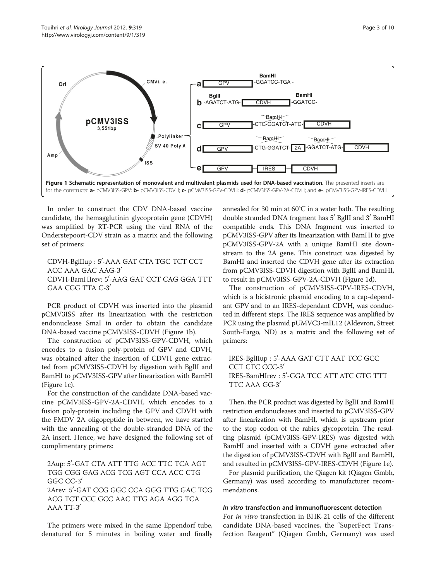<span id="page-2-0"></span>

In order to construct the CDV DNA-based vaccine candidate, the hemagglutinin glycoprotein gene (CDVH) was amplified by RT-PCR using the viral RNA of the Onderstepoort-CDV strain as a matrix and the following set of primers:

CDVH-BglIIup : 5'-AAA GAT CTA TGC TCT CCT ACC AAA GAC AAG-3'<br>CDVH-BamHIrev: 5'-AAG GAT CCT CAG GGA T CDVH-BamHIrev: 5'-AAG GAT CCT CAG GGA TTT  $\overline{\phantom{a}}$ GAA CGG TTA C-3'

PCR product of CDVH was inserted into the plasmid pCMV3ISS after its linearization with the restriction endonuclease SmaI in order to obtain the candidate DNA-based vaccine pCMV3ISS-CDVH (Figure 1b).

The construction of pCMV3ISS-GPV-CDVH, which encodes to a fusion poly-protein of GPV and CDVH, was obtained after the insertion of CDVH gene extracted from pCMV3ISS-CDVH by digestion with BglII and BamHI to pCMV3ISS-GPV after linearization with BamHI (Figure 1c).

For the construction of the candidate DNA-based vaccine pCMV3ISS-GPV-2A-CDVH, which encodes to a fusion poly-protein including the GPV and CDVH with the FMDV 2A oligopeptide in between, we have started with the annealing of the double-stranded DNA of the 2A insert. Hence, we have designed the following set of complimentary primers:

2Aup: 5'-GAT CTA ATT TTG ACC TTC TCA AGT CO GAG ACC TCG AGT CCA ACC CTG  $GGC$   $CC_3'$ GGC CC-3' 2Arev: 5'-GAT CCG GGC CCA GGG TTG GAC TCG T CCC GCC AAC TTG AGA AGG TCA  $\triangle A \triangle T T \angle 3'$ AAA TT-3'

The primers were mixed in the same Eppendorf tube, denatured for 5 minutes in boiling water and finally annealed for 30 min at 60°C in a water bath. The resulting double stranded DNA fragment has 5' BglII and 3' BamHI compatible ends. This DNA fragment was inserted to pCMV3ISS-GPV after its linearization with BamHI to give pCMV3ISS-GPV-2A with a unique BamHI site downstream to the 2A gene. This construct was digested by BamHI and inserted the CDVH gene after its extraction from pCMV3ISS-CDVH digestion with BglII and BamHI, to result in pCMV3ISS-GPV-2A-CDVH (Figure 1d).

The construction of pCMV3ISS-GPV-IRES-CDVH, which is a bicistronic plasmid encoding to a cap-dependant GPV and to an IRES-dependant CDVH, was conducted in different steps. The IRES sequence was amplified by PCR using the plasmid pUMVC3-mIL12 (Aldevron, Street South-Fargo, ND) as a matrix and the following set of primers:

IRES-BglIIup : 5′-AAA GAT CTT AAT TCC GCC<br>CCT CTC CCC-3′ CCT CTC CCC-3' IRES-BamHIrev : 5'-GGA TCC ATT ATC GTG TTT TTC AAA GG-3'

Then, the PCR product was digested by BglII and BamHI restriction endonucleases and inserted to pCMV3ISS-GPV after linearization with BamHI, which is upstream prior to the stop codon of the rabies glycoprotein. The resulting plasmid (pCMV3ISS-GPV-IRES) was digested with BamHI and inserted with a CDVH gene extracted after the digestion of pCMV3ISS-CDVH with BglII and BamHI, and resulted in pCMV3ISS-GPV-IRES-CDVH (Figure 1e).

For plasmid purification, the Qiagen kit (Qiagen Gmbh, Germany) was used according to manufacturer recommendations.

# In vitro transfection and immunofluorescent detection

For in vitro transfection in BHK-21 cells of the different candidate DNA-based vaccines, the "SuperFect Transfection Reagent" (Qiagen Gmbh, Germany) was used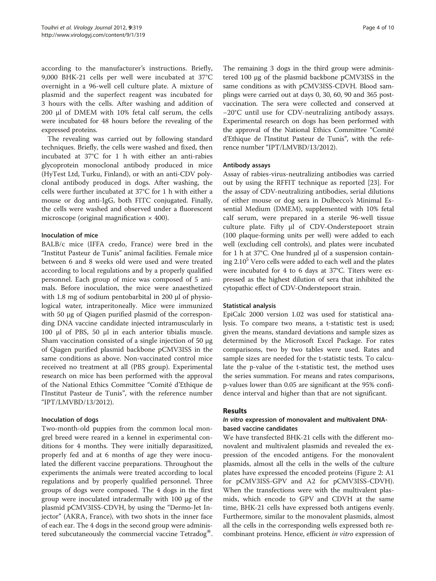according to the manufacturer's instructions. Briefly, 9,000 BHK-21 cells per well were incubated at 37°C overnight in a 96-well cell culture plate. A mixture of plasmid and the superfect reagent was incubated for 3 hours with the cells. After washing and addition of 200 μl of DMEM with 10% fetal calf serum, the cells were incubated for 48 hours before the revealing of the expressed proteins.

The revealing was carried out by following standard techniques. Briefly, the cells were washed and fixed, then incubated at 37°C for 1 h with either an anti-rabies glycoprotein monoclonal antibody produced in mice (HyTest Ltd, Turku, Finland), or with an anti-CDV polyclonal antibody produced in dogs. After washing, the cells were further incubated at 37°C for 1 h with either a mouse or dog anti-IgG, both FITC conjugated. Finally, the cells were washed and observed under a fluorescent microscope (original magnification  $\times$  400).

# Inoculation of mice

BALB/c mice (IFFA credo, France) were bred in the "Institut Pasteur de Tunis" animal facilities. Female mice between 6 and 8 weeks old were used and were treated according to local regulations and by a properly qualified personnel. Each group of mice was composed of 5 animals. Before inoculation, the mice were anaesthetized with 1.8 mg of sodium pentobarbital in 200 μl of physiological water, intraperitoneally. Mice were immunized with 50 μg of Qiagen purified plasmid of the corresponding DNA vaccine candidate injected intramuscularly in 100 μl of PBS, 50 μl in each anterior tibialis muscle. Sham vaccination consisted of a single injection of 50 μg of Qiagen purified plasmid backbone pCMV3ISS in the same conditions as above. Non-vaccinated control mice received no treatment at all (PBS group). Experimental research on mice has been performed with the approval of the National Ethics Committee "Comité d'Ethique de l'Institut Pasteur de Tunis", with the reference number "IPT/LMVBD/13/2012).

# Inoculation of dogs

Two-month-old puppies from the common local mongrel breed were reared in a kennel in experimental conditions for 4 months. They were initially deparasitized, properly fed and at 6 months of age they were inoculated the different vaccine preparations. Throughout the experiments the animals were treated according to local regulations and by properly qualified personnel. Three groups of dogs were composed. The 4 dogs in the first group were inoculated intradermally with 100 μg of the plasmid pCMV3ISS-CDVH, by using the "Dermo-Jet Injector" (AKRA, France), with two shots in the inner face of each ear. The 4 dogs in the second group were administered subcutaneously the commercial vaccine Tetradog<sup>®</sup>. The remaining 3 dogs in the third group were administered 100 μg of the plasmid backbone pCMV3ISS in the same conditions as with pCMV3ISS-CDVH. Blood samplings were carried out at days 0, 30, 60, 90 and 365 postvaccination. The sera were collected and conserved at −20°C until use for CDV-neutralizing antibody assays. Experimental research on dogs has been performed with the approval of the National Ethics Committee "Comité d'Ethique de l'Institut Pasteur de Tunis", with the reference number "IPT/LMVBD/13/2012).

# Antibody assays

Assay of rabies-virus-neutralizing antibodies was carried out by using the RFFIT technique as reported [[23\]](#page-9-0). For the assay of CDV-neutralizing antibodies, serial dilutions of either mouse or dog sera in Dulbecco's Minimal Essential Medium (DMEM), supplemented with 10% fetal calf serum, were prepared in a sterile 96-well tissue culture plate. Fifty μl of CDV-Onderstepoort strain (100 plaque-forming units per well) were added to each well (excluding cell controls), and plates were incubated for 1 h at 37°C. One hundred μl of a suspension containing  $2.10<sup>5</sup>$  Vero cells were added to each well and the plates were incubated for 4 to 6 days at 37°C. Titers were expressed as the highest dilution of sera that inhibited the cytopathic effect of CDV-Onderstepoort strain.

# Statistical analysis

EpiCalc 2000 version 1.02 was used for statistical analysis. To compare two means, a t-statistic test is used; given the means, standard deviations and sample sizes as determined by the Microsoft Excel Package. For rates comparisons, two by two tables were used. Rates and sample sizes are needed for the t-statistic tests. To calculate the p-value of the t-statistic test, the method uses the series summation. For means and rates comparisons, p-values lower than 0.05 are significant at the 95% confidence interval and higher than that are not significant.

# Results

# In vitro expression of monovalent and multivalent DNAbased vaccine candidates

We have transfected BHK-21 cells with the different monovalent and multivalent plasmids and revealed the expression of the encoded antigens. For the monovalent plasmids, almost all the cells in the wells of the culture plates have expressed the encoded proteins (Figure [2:](#page-4-0) A1 for pCMV3ISS-GPV and A2 for pCMV3ISS-CDVH). When the transfections were with the multivalent plasmids, which encode to GPV and CDVH at the same time, BHK-21 cells have expressed both antigens evenly. Furthermore, similar to the monovalent plasmids, almost all the cells in the corresponding wells expressed both recombinant proteins. Hence, efficient in vitro expression of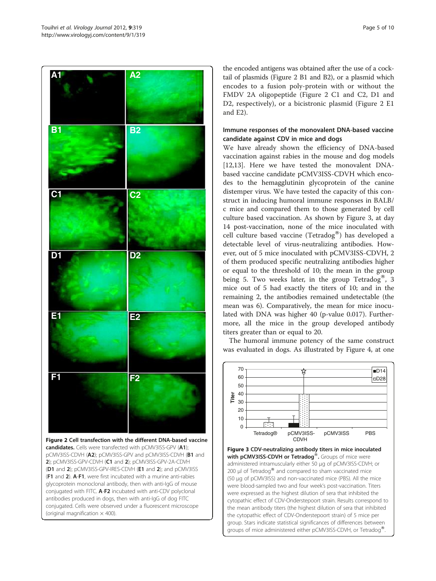<span id="page-4-0"></span>

Figure 2 Cell transfection with the different DNA-based vaccine candidates. Cells were transfected with pCMV3ISS-GPV (A1); pCMV3ISS-CDVH (A2); pCMV3ISS-GPV and pCMV3ISS-CDVH (B1 and 2); pCMV3ISS-GPV-CDVH (C1 and 2); pCMV3ISS-GPV-2A-CDVH (D1 and 2); pCMV3ISS-GPV-IRES-CDVH (E1 and 2); and pCMV3ISS (F1 and 2). A-F1, were first incubated with a murine anti-rabies glycoprotein monoclonal antibody, then with anti-IgG of mouse conjugated with FITC. A-F2 incubated with anti-CDV polyclonal antibodies produced in dogs, then with anti-IgG of dog FITC conjugated. Cells were observed under a fluorescent microscope (original magnification  $\times$  400).

the encoded antigens was obtained after the use of a cocktail of plasmids (Figure 2 B1 and B2), or a plasmid which encodes to a fusion poly-protein with or without the FMDV 2A oligopeptide (Figure 2 C1 and C2, D1 and D2, respectively), or a bicistronic plasmid (Figure 2 E1 and E2).

# Immune responses of the monovalent DNA-based vaccine candidate against CDV in mice and dogs

We have already shown the efficiency of DNA-based vaccination against rabies in the mouse and dog models [[12,13\]](#page-9-0). Here we have tested the monovalent DNAbased vaccine candidate pCMV3ISS-CDVH which encodes to the hemagglutinin glycoprotein of the canine distemper virus. We have tested the capacity of this construct in inducing humoral immune responses in BALB/ c mice and compared them to those generated by cell culture based vaccination. As shown by Figure 3, at day 14 post-vaccination, none of the mice inoculated with cell culture based vaccine (Tetradog®) has developed a detectable level of virus-neutralizing antibodies. However, out of 5 mice inoculated with pCMV3ISS-CDVH, 2 of them produced specific neutralizing antibodies higher or equal to the threshold of 10; the mean in the group being 5. Two weeks later, in the group Tetradog<sup>®</sup>, 3 mice out of 5 had exactly the titers of 10; and in the remaining 2, the antibodies remained undetectable (the mean was 6). Comparatively, the mean for mice inoculated with DNA was higher 40 (p-value 0.017). Furthermore, all the mice in the group developed antibody titers greater than or equal to 20.

The humoral immune potency of the same construct was evaluated in dogs. As illustrated by Figure [4,](#page-5-0) at one



Figure 3 CDV-neutralizing antibody titers in mice inoculated with pCMV3ISS-CDVH or Tetradog®. Groups of mice were administered intramuscularly either 50 μg of pCMV3ISS-CDVH; or 200 μl of Tetradog<sup>®</sup> and compared to sham vaccinated mice (50 μg of pCMV3ISS) and non-vaccinated mice (PBS). All the mice were blood-sampled two and four week's post-vaccination. Titers were expressed as the highest dilution of sera that inhibited the cytopathic effect of CDV-Onderstepoort strain. Results correspond to the mean antibody titers (the highest dilution of sera that inhibited the cytopathic effect of CDV-Onderstepoort strain) of 5 mice per group. Stars indicate statistical significances of differences between groups of mice administered either pCMV3ISS-CDVH, or Tetradog®.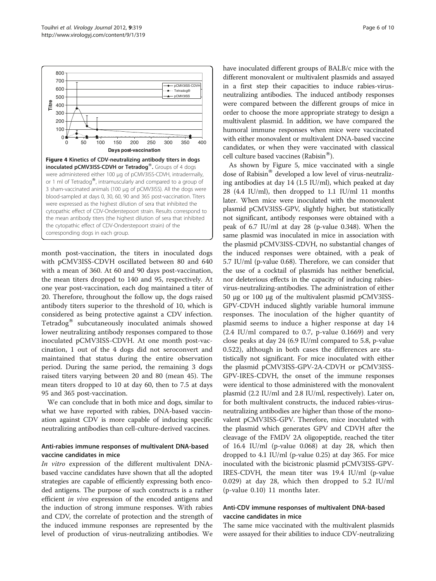

<span id="page-5-0"></span>

month post-vaccination, the titers in inoculated dogs with pCMV3ISS-CDVH oscillated between 80 and 640 with a mean of 360. At 60 and 90 days post-vaccination, the mean titers dropped to 140 and 95, respectively. At one year post-vaccination, each dog maintained a titer of 20. Therefore, throughout the follow up, the dogs raised antibody titers superior to the threshold of 10, which is considered as being protective against a CDV infection.  $Tetradoq^{\omega}$  subcutaneously inoculated animals showed lower neutralizing antibody responses compared to those inoculated pCMV3ISS-CDVH. At one month post-vaccination, 1 out of the 4 dogs did not seroconvert and maintained that status during the entire observation period. During the same period, the remaining 3 dogs raised titers varying between 20 and 80 (mean 45). The mean titers dropped to 10 at day 60, then to 7.5 at days 95 and 365 post-vaccination.

We can conclude that in both mice and dogs, similar to what we have reported with rabies, DNA-based vaccination against CDV is more capable of inducing specific neutralizing antibodies than cell-culture-derived vaccines.

# Anti-rabies immune responses of multivalent DNA-based vaccine candidates in mice

In vitro expression of the different multivalent DNAbased vaccine candidates have shown that all the adopted strategies are capable of efficiently expressing both encoded antigens. The purpose of such constructs is a rather efficient *in vivo* expression of the encoded antigens and the induction of strong immune responses. With rabies and CDV, the correlate of protection and the strength of the induced immune responses are represented by the level of production of virus-neutralizing antibodies. We have inoculated different groups of BALB/c mice with the different monovalent or multivalent plasmids and assayed in a first step their capacities to induce rabies-virusneutralizing antibodies. The induced antibody responses were compared between the different groups of mice in order to choose the more appropriate strategy to design a multivalent plasmid. In addition, we have compared the humoral immune responses when mice were vaccinated with either monovalent or multivalent DNA-based vaccine candidates, or when they were vaccinated with classical cell culture based vaccines (Rabisin®).

As shown by Figure [5](#page-6-0), mice vaccinated with a single dose of Rabisin<sup>®</sup> developed a low level of virus-neutralizing antibodies at day 14 (1.5 IU/ml), which peaked at day 28 (4.4 IU/ml), then dropped to 1.1 IU/ml 11 months later. When mice were inoculated with the monovalent plasmid pCMV3ISS-GPV, slightly higher, but statistically not significant, antibody responses were obtained with a peak of 6.7 IU/ml at day 28 (p-value 0.348). When the same plasmid was inoculated in mice in association with the plasmid pCMV3ISS-CDVH, no substantial changes of the induced responses were obtained, with a peak of 5.7 IU/ml (p-value 0.68). Therefore, we can consider that the use of a cocktail of plasmids has neither beneficial, nor deleterious effects in the capacity of inducing rabiesvirus-neutralizing-antibodies. The administration of either 50 μg or 100 μg of the multivalent plasmid pCMV3ISS-GPV-CDVH induced slightly variable humoral immune responses. The inoculation of the higher quantity of plasmid seems to induce a higher response at day 14 (2.4 IU/ml compared to 0.7, p-value 0.1669) and very close peaks at day 24 (6.9 IU/ml compared to 5.8, p-value 0.522), although in both cases the differences are statistically not significant. For mice inoculated with either the plasmid pCMV3ISS-GPV-2A-CDVH or pCMV3ISS-GPV-IRES-CDVH, the onset of the immune responses were identical to those administered with the monovalent plasmid (2.2 IU/ml and 2.8 IU/ml, respectively). Later on, for both multivalent constructs, the induced rabies-virusneutralizing antibodies are higher than those of the monovalent pCMV3ISS-GPV. Therefore, mice inoculated with the plasmid which generates GPV and CDVH after the cleavage of the FMDV 2A oligopeptide, reached the titer of 16.4 IU/ml (p-value 0.068) at day 28, which then dropped to 4.1 IU/ml (p-value 0.25) at day 365. For mice inoculated with the bicistronic plasmid pCMV3ISS-GPV-IRES-CDVH, the mean titer was 19.4 IU/ml (p-value 0.029) at day 28, which then dropped to 5.2 IU/ml (p-value 0.10) 11 months later.

# Anti-CDV immune responses of multivalent DNA-based vaccine candidates in mice

The same mice vaccinated with the multivalent plasmids were assayed for their abilities to induce CDV-neutralizing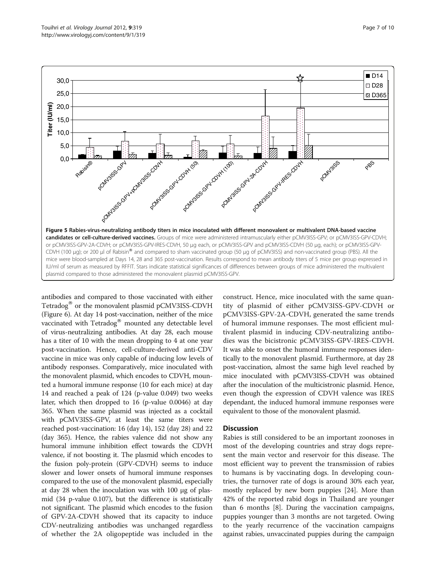<span id="page-6-0"></span>

antibodies and compared to those vaccinated with either Tetradog<sup>®</sup> or the monovalent plasmid pCMV3ISS-CDVH (Figure [6\)](#page-7-0). At day 14 post-vaccination, neither of the mice vaccinated with  $Tetradog^{\otimes}$  mounted any detectable level of virus-neutralizing antibodies. At day 28, each mouse has a titer of 10 with the mean dropping to 4 at one year post-vaccination. Hence, cell-culture-derived anti-CDV vaccine in mice was only capable of inducing low levels of antibody responses. Comparatively, mice inoculated with the monovalent plasmid, which encodes to CDVH, mounted a humoral immune response (10 for each mice) at day 14 and reached a peak of 124 (p-value 0.049) two weeks later, which then dropped to 16 (p-value 0.0046) at day 365. When the same plasmid was injected as a cocktail with pCMV3ISS-GPV, at least the same titers were reached post-vaccination: 16 (day 14), 152 (day 28) and 22 (day 365). Hence, the rabies valence did not show any humoral immune inhibition effect towards the CDVH valence, if not boosting it. The plasmid which encodes to the fusion poly-protein (GPV-CDVH) seems to induce slower and lower onsets of humoral immune responses compared to the use of the monovalent plasmid, especially at day 28 when the inoculation was with 100 μg of plasmid (34 p-value 0.107), but the difference is statistically not significant. The plasmid which encodes to the fusion of GPV-2A-CDVH showed that its capacity to induce CDV-neutralizing antibodies was unchanged regardless of whether the 2A oligopeptide was included in the construct. Hence, mice inoculated with the same quantity of plasmid of either pCMV3ISS-GPV-CDVH or pCMV3ISS-GPV-2A-CDVH, generated the same trends of humoral immune responses. The most efficient multivalent plasmid in inducing CDV-neutralizing antibodies was the bicistronic pCMV3ISS-GPV-IRES-CDVH. It was able to onset the humoral immune responses identically to the monovalent plasmid. Furthermore, at day 28 post-vaccination, almost the same high level reached by mice inoculated with pCMV3ISS-CDVH was obtained after the inoculation of the multicistronic plasmid. Hence, even though the expression of CDVH valence was IRES dependant, the induced humoral immune responses were equivalent to those of the monovalent plasmid.

# **Discussion**

Rabies is still considered to be an important zoonoses in most of the developing countries and stray dogs represent the main vector and reservoir for this disease. The most efficient way to prevent the transmission of rabies to humans is by vaccinating dogs. In developing countries, the turnover rate of dogs is around 30% each year, mostly replaced by new born puppies [[24\]](#page-9-0). More than 42% of the reported rabid dogs in Thailand are younger than 6 months [\[8](#page-8-0)]. During the vaccination campaigns, puppies younger than 3 months are not targeted. Owing to the yearly recurrence of the vaccination campaigns against rabies, unvaccinated puppies during the campaign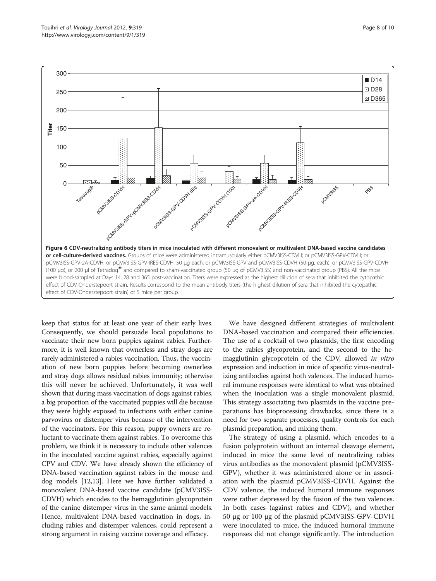<span id="page-7-0"></span>

keep that status for at least one year of their early lives. Consequently, we should persuade local populations to vaccinate their new born puppies against rabies. Furthermore, it is well known that ownerless and stray dogs are rarely administered a rabies vaccination. Thus, the vaccination of new born puppies before becoming ownerless and stray dogs allows residual rabies immunity; otherwise this will never be achieved. Unfortunately, it was well shown that during mass vaccination of dogs against rabies, a big proportion of the vaccinated puppies will die because they were highly exposed to infections with either canine parvovirus or distemper virus because of the intervention of the vaccinators. For this reason, puppy owners are reluctant to vaccinate them against rabies. To overcome this problem, we think it is necessary to include other valences in the inoculated vaccine against rabies, especially against CPV and CDV. We have already shown the efficiency of DNA-based vaccination against rabies in the mouse and dog models [\[12,13\]](#page-9-0). Here we have further validated a monovalent DNA-based vaccine candidate (pCMV3ISS-CDVH) which encodes to the hemagglutinin glycoprotein of the canine distemper virus in the same animal models. Hence, multivalent DNA-based vaccination in dogs, including rabies and distemper valences, could represent a strong argument in raising vaccine coverage and efficacy.

We have designed different strategies of multivalent DNA-based vaccination and compared their efficiencies. The use of a cocktail of two plasmids, the first encoding to the rabies glycoprotein, and the second to the hemagglutinin glycoprotein of the CDV, allowed in vitro expression and induction in mice of specific virus-neutralizing antibodies against both valences. The induced humoral immune responses were identical to what was obtained when the inoculation was a single monovalent plasmid. This strategy associating two plasmids in the vaccine preparations has bioprocessing drawbacks, since there is a need for two separate processes, quality controls for each plasmid preparation, and mixing them.

The strategy of using a plasmid, which encodes to a fusion polyprotein without an internal cleavage element, induced in mice the same level of neutralizing rabies virus antibodies as the monovalent plasmid (pCMV3ISS-GPV), whether it was administered alone or in association with the plasmid pCMV3ISS-CDVH. Against the CDV valence, the induced humoral immune responses were rather depressed by the fusion of the two valences. In both cases (against rabies and CDV), and whether 50 μg or 100 μg of the plasmid pCMV3ISS-GPV-CDVH were inoculated to mice, the induced humoral immune responses did not change significantly. The introduction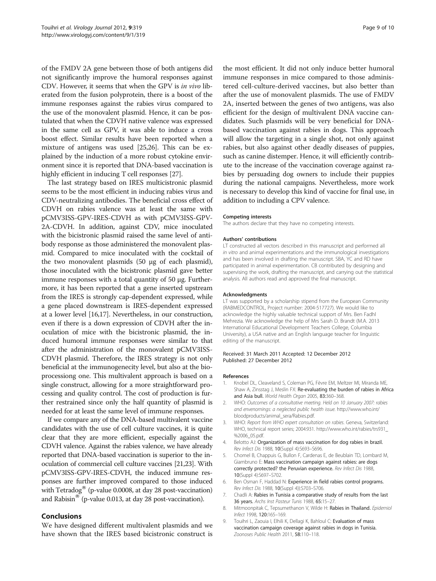<span id="page-8-0"></span>of the FMDV 2A gene between those of both antigens did not significantly improve the humoral responses against CDV. However, it seems that when the GPV is in vivo liberated from the fusion polyprotein, there is a boost of the immune responses against the rabies virus compared to the use of the monovalent plasmid. Hence, it can be postulated that when the CDVH native valence was expressed in the same cell as GPV, it was able to induce a cross boost effect. Similar results have been reported when a mixture of antigens was used [\[25,26\]](#page-9-0). This can be explained by the induction of a more robust cytokine environment since it is reported that DNA-based vaccination is highly efficient in inducing T cell responses [[27](#page-9-0)].

The last strategy based on IRES multicistronic plasmid seems to be the most efficient in inducing rabies virus and CDV-neutralizing antibodies. The beneficial cross effect of CDVH on rabies valence was at least the same with pCMV3ISS-GPV-IRES-CDVH as with pCMV3ISS-GPV-2A-CDVH. In addition, against CDV, mice inoculated with the bicistronic plasmid raised the same level of antibody response as those administered the monovalent plasmid. Compared to mice inoculated with the cocktail of the two monovalent plasmids (50 μg of each plasmid), those inoculated with the bicistronic plasmid gave better immune responses with a total quantity of 50 μg. Furthermore, it has been reported that a gene inserted upstream from the IRES is strongly cap-dependent expressed, while a gene placed downstream is IRES-dependent expressed at a lower level [\[16,17\]](#page-9-0). Nevertheless, in our construction, even if there is a down expression of CDVH after the inoculation of mice with the bicistronic plasmid, the induced humoral immune responses were similar to that after the administration of the monovalent pCMV3ISS-CDVH plasmid. Therefore, the IRES strategy is not only beneficial at the immunogenecity level, but also at the bioprocessiong one. This multivalent approach is based on a single construct, allowing for a more straightforward processing and quality control. The cost of production is further restrained since only the half quantity of plasmid is needed for at least the same level of immune responses.

If we compare any of the DNA-based multivalent vaccine candidates with the use of cell culture vaccines, it is quite clear that they are more efficient, especially against the CDVH valence. Against the rabies valence, we have already reported that DNA-based vaccination is superior to the inoculation of commercial cell culture vaccines [\[21,23](#page-9-0)]. With pCMV3ISS-GPV-IRES-CDVH, the induced immune responses are further improved compared to those induced with  $Tetradog^{\omega}$  (p-value 0.0008, at day 28 post-vaccination) and Rabisin<sup>®</sup> (p-value 0.013, at day 28 post-vaccination).

# Conclusions

We have designed different multivalent plasmids and we have shown that the IRES based bicistronic construct is

the most efficient. It did not only induce better humoral immune responses in mice compared to those administered cell-culture-derived vaccines, but also better than after the use of monovalent plasmids. The use of FMDV 2A, inserted between the genes of two antigens, was also efficient for the design of multivalent DNA vaccine candidates. Such plasmids will be very beneficial for DNAbased vaccination against rabies in dogs. This approach will allow the targeting in a single shot, not only against rabies, but also against other deadly diseases of puppies, such as canine distemper. Hence, it will efficiently contribute to the increase of the vaccination coverage against rabies by persuading dog owners to include their puppies during the national campaigns. Nevertheless, more work is necessary to develop this kind of vaccine for final use, in addition to including a CPV valence.

#### Competing interests

The authors declare that they have no competing interests.

#### Authors' contributions

LT constructed all vectors described in this manuscript and performed all in vitro and animal experimentations and the immunological investigations and has been involved in drafting the manuscript. SBA, YC and RD have participated in animal experimentation. CB contributed by designing and supervising the work, drafting the manuscript, and carrying out the statistical analysis. All authors read and approved the final manuscript.

#### Acknowledgments

LT was supported by a scholarship stipend from the European Community (RABMEDCONTROL, Project number: 2004-517727). We would like to acknowledge the highly valuable technical support of Mrs. Ben Fadhl Mehrezia. We acknowledge the help of Mrs Sarah D. Brandt (M.A. 2013 International Educational Development Teachers College, Columbia University), a USA native and an English language teacher for linguistic editing of the manuscript.

#### Received: 31 March 2011 Accepted: 12 December 2012 Published: 27 December 2012

#### References

- 1. Knobel DL, Cleaveland S, Coleman PG, Fèvre EM, Meltzer MI, Miranda ME, Shaw A, Zinsstag J, Meslin FX: Re-evaluating the burden of rabies in Africa and Asia bull. World Health Organ 2005, 83:360–368.
- 2. WHO: Outcomes of a consultative meeting. Held on 10 January 2007: rabies and envenomings: a neglected public health issue. [http://www.who.int/](http://www.who.int/bloodproducts/animal_sera/Rabies.pdf) [bloodproducts/animal\\_sera/Rabies.pdf](http://www.who.int/bloodproducts/animal_sera/Rabies.pdf).
- 3. WHO: Report from WHO expert consultation on rabies. Geneva, Switzerland: WHO, technical report series; 2004:931. [http://www.who.int/rabies/trs931\\_](http://www.who.int/rabies/trs931_%2006_05.pdf) [%2006\\_05.pdf.](http://www.who.int/rabies/trs931_%2006_05.pdf)
- 4. Belotto AJ: Organization of mass vaccination for dog rabies in brazil. Rev Infect Dis 1988, 10(Suppl 4):S693–S696.
- 5. Chomel B, Chappuis G, Bullon F, Cardenas E, de Beublain TD, Lombard M, Giambruno E: Mass vaccination campaign against rabies: are dogs correctly protected? the Peruvian experience. Rev Infect Dis 1988, 10(Suppl 4):S697–S702.
- 6. Ben Osman F, Haddad N: Experience in field rabies control programs. Rev Infect Dis 1988, 10(Suppl 4)):S703–S706.
- 7. Chadli A: Rabies in Tunisia a comparative study of results from the last 36 years. Archs Inst Pasteur Tunis 1988, 65:15-27.
- 8. Mitmoonpitak C, Tepsumethanon V, Wilde H: Rabies in Thailand. Epidemiol Infect 1998, 120:165–169.
- 9. Touihri L, Zaouia I, Elhili K, Dellagi K, Bahloul C: Evaluation of mass vaccination campaign coverage against rabies in dogs in Tunisia. Zoonoses Public Health 2011, 58:110-118.